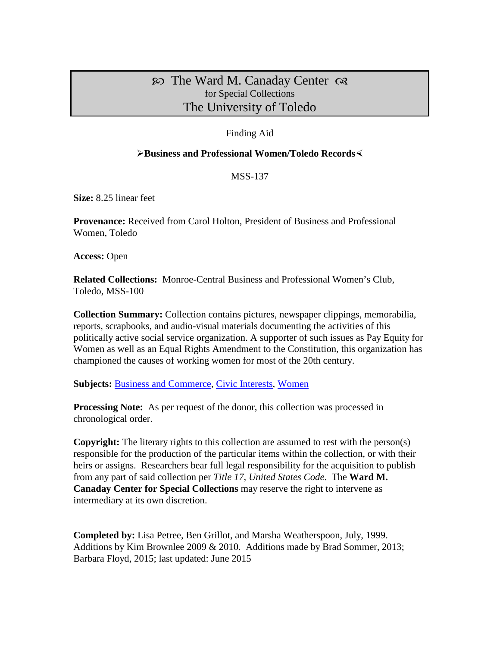## $\infty$  The Ward M. Canaday Center  $\infty$ for Special Collections The University of Toledo

#### Finding Aid

#### **Example 3 Business and Professional Women/Toledo Records**

#### MSS-137

**Size:** 8.25 linear feet

**Provenance:** Received from Carol Holton, President of Business and Professional Women, Toledo

**Access:** Open

**Related Collections:** Monroe-Central Business and Professional Women's Club, Toledo, MSS-100

**Collection Summary:** Collection contains pictures, newspaper clippings, memorabilia, reports, scrapbooks, and audio-visual materials documenting the activities of this politically active social service organization. A supporter of such issues as Pay Equity for Women as well as an Equal Rights Amendment to the Constitution, this organization has championed the causes of working women for most of the 20th century.

**Subjects: [Business and Commerce,](http://www.utoledo.edu/library/canaday/guidepages/business.html) [Civic Interests,](http://www.utoledo.edu/library/canaday/guidepages/civic.html) [Women](http://www.utoledo.edu/library/canaday/guidepages/women.html)** 

**Processing Note:** As per request of the donor, this collection was processed in chronological order.

**Copyright:** The literary rights to this collection are assumed to rest with the person(s) responsible for the production of the particular items within the collection, or with their heirs or assigns. Researchers bear full legal responsibility for the acquisition to publish from any part of said collection per *Title 17, United States Code*. The **Ward M. Canaday Center for Special Collections** may reserve the right to intervene as intermediary at its own discretion.

**Completed by:** Lisa Petree, Ben Grillot, and Marsha Weatherspoon, July, 1999. Additions by Kim Brownlee 2009 & 2010. Additions made by Brad Sommer, 2013; Barbara Floyd, 2015; last updated: June 2015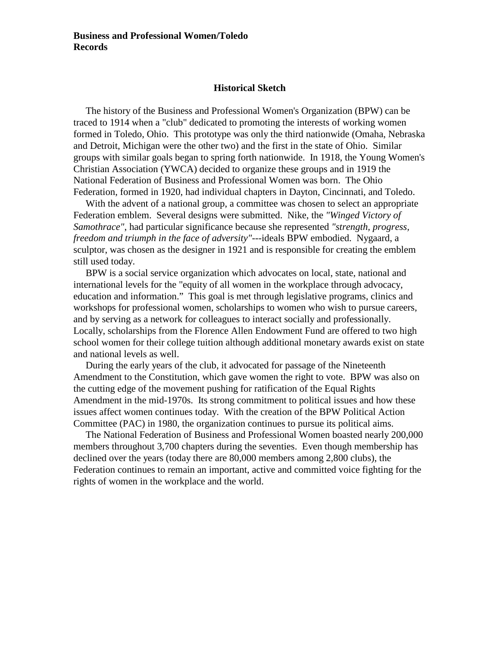#### **Historical Sketch**

 The history of the Business and Professional Women's Organization (BPW) can be traced to 1914 when a "club" dedicated to promoting the interests of working women formed in Toledo, Ohio. This prototype was only the third nationwide (Omaha, Nebraska and Detroit, Michigan were the other two) and the first in the state of Ohio. Similar groups with similar goals began to spring forth nationwide. In 1918, the Young Women's Christian Association (YWCA) decided to organize these groups and in 1919 the National Federation of Business and Professional Women was born. The Ohio Federation, formed in 1920, had individual chapters in Dayton, Cincinnati, and Toledo.

With the advent of a national group, a committee was chosen to select an appropriate Federation emblem. Several designs were submitted. Nike, the *"Winged Victory of Samothrace"*, had particular significance because she represented *"strength, progress, freedom and triumph in the face of adversity"*---ideals BPW embodied. Nygaard, a sculptor, was chosen as the designer in 1921 and is responsible for creating the emblem still used today.

 BPW is a social service organization which advocates on local, state, national and international levels for the "equity of all women in the workplace through advocacy, education and information." This goal is met through legislative programs, clinics and workshops for professional women, scholarships to women who wish to pursue careers, and by serving as a network for colleagues to interact socially and professionally. Locally, scholarships from the Florence Allen Endowment Fund are offered to two high school women for their college tuition although additional monetary awards exist on state and national levels as well.

 During the early years of the club, it advocated for passage of the Nineteenth Amendment to the Constitution, which gave women the right to vote. BPW was also on the cutting edge of the movement pushing for ratification of the Equal Rights Amendment in the mid-1970s. Its strong commitment to political issues and how these issues affect women continues today. With the creation of the BPW Political Action Committee (PAC) in 1980, the organization continues to pursue its political aims.

 The National Federation of Business and Professional Women boasted nearly 200,000 members throughout 3,700 chapters during the seventies. Even though membership has declined over the years (today there are 80,000 members among 2,800 clubs), the Federation continues to remain an important, active and committed voice fighting for the rights of women in the workplace and the world.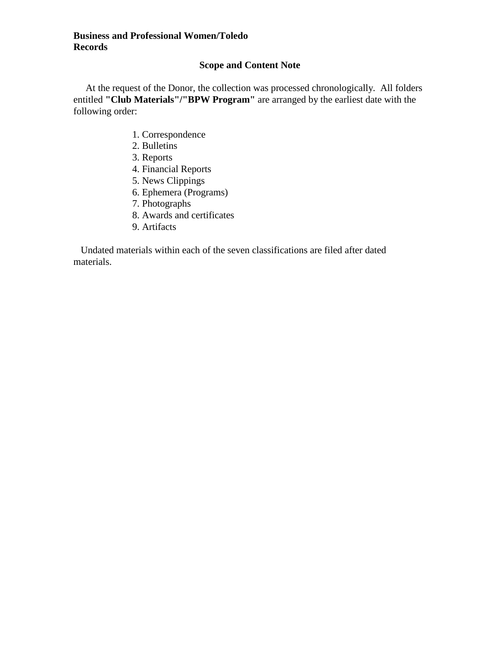### **Scope and Content Note**

At the request of the Donor, the collection was processed chronologically. All folders entitled **"Club Materials"/"BPW Program"** are arranged by the earliest date with the following order:

- 1. Correspondence
- 2. Bulletins
- 3. Reports
- 4. Financial Reports
- 5. News Clippings
- 6. Ephemera (Programs)
- 7. Photographs
- 8. Awards and certificates
- 9. Artifacts

 Undated materials within each of the seven classifications are filed after dated materials.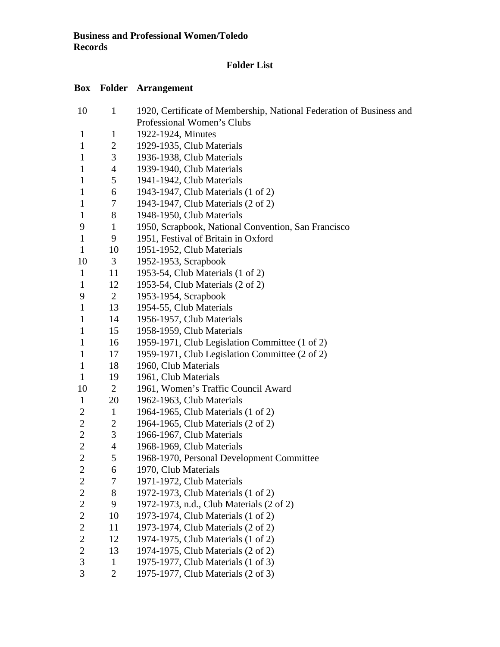### **Folder List**

# **Box Folder Arrangement**

| 10             | $\mathbf{1}$   | 1920, Certificate of Membership, National Federation of Business and |  |  |
|----------------|----------------|----------------------------------------------------------------------|--|--|
|                |                | Professional Women's Clubs                                           |  |  |
| $\mathbf{1}$   | $\mathbf{1}$   | 1922-1924, Minutes                                                   |  |  |
| $\mathbf{1}$   | 2              | 1929-1935, Club Materials                                            |  |  |
| $\mathbf{1}$   | 3              | 1936-1938, Club Materials                                            |  |  |
| $\mathbf{1}$   | $\overline{4}$ | 1939-1940, Club Materials                                            |  |  |
| 1              | 5              | 1941-1942, Club Materials                                            |  |  |
| $\mathbf{1}$   | 6              | 1943-1947, Club Materials (1 of 2)                                   |  |  |
| $\mathbf{1}$   | 7              | 1943-1947, Club Materials (2 of 2)                                   |  |  |
| $\mathbf{1}$   | 8              | 1948-1950, Club Materials                                            |  |  |
| 9              | $\mathbf{1}$   | 1950, Scrapbook, National Convention, San Francisco                  |  |  |
| $\mathbf{1}$   | 9              | 1951, Festival of Britain in Oxford                                  |  |  |
| $\mathbf{1}$   | 10             | 1951-1952, Club Materials                                            |  |  |
| 10             | 3              | 1952-1953, Scrapbook                                                 |  |  |
| $\mathbf{1}$   | 11             | 1953-54, Club Materials (1 of 2)                                     |  |  |
| $\mathbf{1}$   | 12             | 1953-54, Club Materials (2 of 2)                                     |  |  |
| 9              | $\overline{2}$ | 1953-1954, Scrapbook                                                 |  |  |
| $\mathbf{1}$   | 13             | 1954-55, Club Materials                                              |  |  |
| $\mathbf{1}$   | 14             | 1956-1957, Club Materials                                            |  |  |
| $\mathbf{1}$   | 15             | 1958-1959, Club Materials                                            |  |  |
| $\mathbf{1}$   | 16             | 1959-1971, Club Legislation Committee (1 of 2)                       |  |  |
| $\mathbf{1}$   | 17             | 1959-1971, Club Legislation Committee (2 of 2)                       |  |  |
| $\mathbf{1}$   | 18             | 1960, Club Materials                                                 |  |  |
| $\mathbf{1}$   | 19             | 1961, Club Materials                                                 |  |  |
| 10             | $\overline{2}$ | 1961, Women's Traffic Council Award                                  |  |  |
| $\mathbf{1}$   | 20             | 1962-1963, Club Materials                                            |  |  |
| $\overline{2}$ | $\mathbf{1}$   | 1964-1965, Club Materials (1 of 2)                                   |  |  |
| $\overline{c}$ | $\overline{2}$ | 1964-1965, Club Materials (2 of 2)                                   |  |  |
| $\mathbf{2}$   | 3              | 1966-1967, Club Materials                                            |  |  |
| $\overline{2}$ | 4              | 1968-1969, Club Materials                                            |  |  |
| $\overline{2}$ | 5              | 1968-1970, Personal Development Committee                            |  |  |
| $\overline{c}$ | 6              | 1970, Club Materials                                                 |  |  |
| $\overline{c}$ | 7              | 1971-1972, Club Materials                                            |  |  |
| $\overline{c}$ | 8              | 1972-1973, Club Materials (1 of 2)                                   |  |  |
| $\mathbf{2}$   | 9              | 1972-1973, n.d., Club Materials (2 of 2)                             |  |  |
| $\sqrt{2}$     | 10             | 1973-1974, Club Materials (1 of 2)                                   |  |  |
| $\overline{2}$ | 11             | 1973-1974, Club Materials (2 of 2)                                   |  |  |
| $\overline{2}$ | 12             | 1974-1975, Club Materials (1 of 2)                                   |  |  |
| $\mathbf{2}$   | 13             | 1974-1975, Club Materials (2 of 2)                                   |  |  |
| 3              | $\mathbf{1}$   | 1975-1977, Club Materials (1 of 3)                                   |  |  |
| 3              | $\overline{2}$ | 1975-1977, Club Materials (2 of 3)                                   |  |  |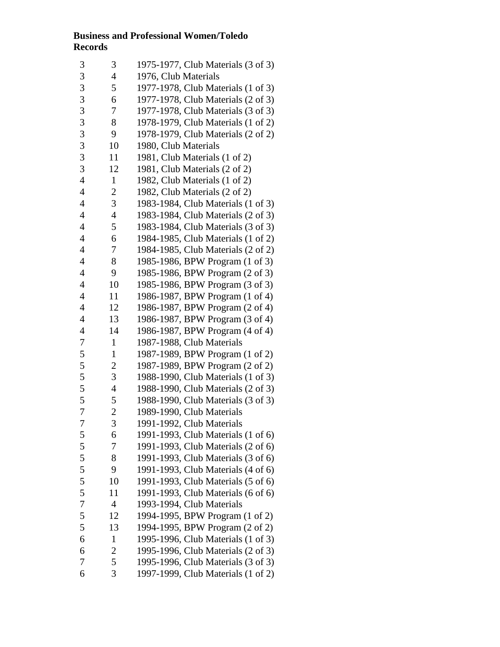| 3              | 3              | 1975-1977, Club Materials (3 of 3) |
|----------------|----------------|------------------------------------|
| 3              | $\overline{4}$ | 1976, Club Materials               |
| 3              | 5              | 1977-1978, Club Materials (1 of 3) |
| 3              | 6              | 1977-1978, Club Materials (2 of 3) |
| 3              | 7              | 1977-1978, Club Materials (3 of 3) |
| 3              | 8              | 1978-1979, Club Materials (1 of 2) |
| 3              | 9              | 1978-1979, Club Materials (2 of 2) |
| 3              | 10             | 1980, Club Materials               |
| 3              | 11             | 1981, Club Materials (1 of 2)      |
| 3              | 12             | 1981, Club Materials (2 of 2)      |
| $\overline{4}$ | $\mathbf{1}$   | 1982, Club Materials (1 of 2)      |
| $\overline{4}$ | $\overline{c}$ | 1982, Club Materials (2 of 2)      |
| $\overline{4}$ | 3              | 1983-1984, Club Materials (1 of 3) |
| $\overline{4}$ | $\overline{4}$ | 1983-1984, Club Materials (2 of 3) |
| $\overline{4}$ | 5              | 1983-1984, Club Materials (3 of 3) |
| $\overline{4}$ | 6              | 1984-1985, Club Materials (1 of 2) |
| $\overline{4}$ | 7              | 1984-1985, Club Materials (2 of 2) |
| $\overline{4}$ | 8              | 1985-1986, BPW Program (1 of 3)    |
| $\overline{4}$ | 9              | 1985-1986, BPW Program (2 of 3)    |
| $\overline{4}$ | 10             | 1985-1986, BPW Program (3 of 3)    |
| $\overline{4}$ | 11             | 1986-1987, BPW Program (1 of 4)    |
| $\overline{4}$ | 12             | 1986-1987, BPW Program (2 of 4)    |
| $\overline{4}$ | 13             | 1986-1987, BPW Program (3 of 4)    |
| $\overline{4}$ | 14             | 1986-1987, BPW Program (4 of 4)    |
| $\overline{7}$ | $\mathbf{1}$   | 1987-1988, Club Materials          |
| 5              | $\mathbf{1}$   | 1987-1989, BPW Program (1 of 2)    |
| 5              | $\mathbf{2}$   | 1987-1989, BPW Program (2 of 2)    |
| 5              | 3              | 1988-1990, Club Materials (1 of 3) |
| 5              | $\overline{4}$ | 1988-1990, Club Materials (2 of 3) |
| 5              | 5              | 1988-1990, Club Materials (3 of 3) |
| $\overline{7}$ | $\overline{c}$ | 1989-1990, Club Materials          |
| 7              | 3              | 1991-1992, Club Materials          |
| 5              | 6              | 1991-1993, Club Materials (1 of 6) |
| 5              | 7              | 1991-1993, Club Materials (2 of 6) |
| 5              | 8              | 1991-1993, Club Materials (3 of 6) |
| 5              | 9              | 1991-1993, Club Materials (4 of 6) |
| 5              | 10             | 1991-1993, Club Materials (5 of 6) |
| 5              | 11             | 1991-1993, Club Materials (6 of 6) |
| $\overline{7}$ | $\overline{4}$ | 1993-1994, Club Materials          |
| 5              | 12             | 1994-1995, BPW Program (1 of 2)    |
| 5              | 13             | 1994-1995, BPW Program (2 of 2)    |
| 6              | $\mathbf{1}$   | 1995-1996, Club Materials (1 of 3) |
| 6              | 2              | 1995-1996, Club Materials (2 of 3) |
| $\overline{7}$ | 5              | 1995-1996, Club Materials (3 of 3) |
| 6              | 3              | 1997-1999, Club Materials (1 of 2) |